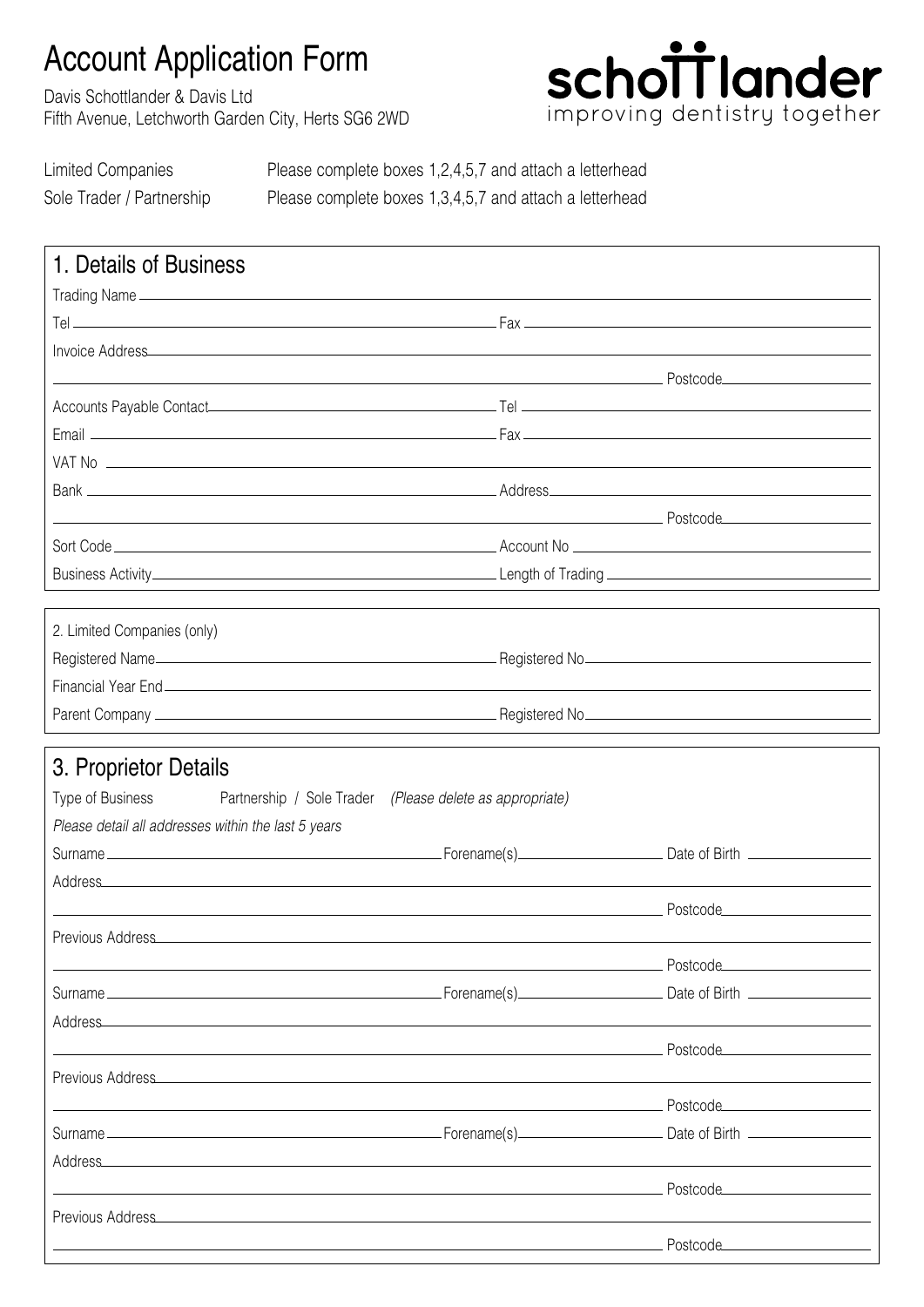## Account Application Form

Davis Schottlander & Davis Ltd Fifth Avenue, Letchworth Garden City, Herts SG6 2WD



Limited Companies Please complete boxes 1,2,4,5,7 and attach a letterhead Sole Trader / Partnership Please complete boxes 1,3,4,5,7 and attach a letterhead

| 1. Details of Business                                                                                                                                                                                                              |                                  |
|-------------------------------------------------------------------------------------------------------------------------------------------------------------------------------------------------------------------------------------|----------------------------------|
|                                                                                                                                                                                                                                     |                                  |
|                                                                                                                                                                                                                                     |                                  |
|                                                                                                                                                                                                                                     |                                  |
|                                                                                                                                                                                                                                     |                                  |
|                                                                                                                                                                                                                                     |                                  |
|                                                                                                                                                                                                                                     |                                  |
|                                                                                                                                                                                                                                     |                                  |
|                                                                                                                                                                                                                                     |                                  |
|                                                                                                                                                                                                                                     |                                  |
|                                                                                                                                                                                                                                     |                                  |
|                                                                                                                                                                                                                                     |                                  |
|                                                                                                                                                                                                                                     |                                  |
| 2. Limited Companies (only)                                                                                                                                                                                                         |                                  |
|                                                                                                                                                                                                                                     |                                  |
|                                                                                                                                                                                                                                     |                                  |
|                                                                                                                                                                                                                                     |                                  |
|                                                                                                                                                                                                                                     |                                  |
| 3. Proprietor Details                                                                                                                                                                                                               |                                  |
| Type of Business <b>Example 2</b> Partnership / Sole Trader (Please delete as appropriate)                                                                                                                                          |                                  |
| Please detail all addresses within the last 5 years                                                                                                                                                                                 |                                  |
|                                                                                                                                                                                                                                     |                                  |
|                                                                                                                                                                                                                                     |                                  |
|                                                                                                                                                                                                                                     |                                  |
| Previous Address                                                                                                                                                                                                                    |                                  |
|                                                                                                                                                                                                                                     | Postcode_______________________  |
|                                                                                                                                                                                                                                     |                                  |
| Address_                                                                                                                                                                                                                            |                                  |
|                                                                                                                                                                                                                                     | Postcode________________________ |
| Previous Address Management of the Address Management of the Address Management of the Address Management of the Address Management of the Address Management of the Address Management of the Address Management of the Addre      |                                  |
|                                                                                                                                                                                                                                     | Postcode_______________________  |
|                                                                                                                                                                                                                                     |                                  |
| Address Address Address Address Address Address Address Address Address Address Address Address Address Address Address Address Address Address Address Address Address Address Address Address Address Address Address Addres      |                                  |
|                                                                                                                                                                                                                                     | Postcode_______________________  |
| Previous Address <b>Manual Address and Address and Address and Address</b> and Address and Address and Address and Address and Address and Address and Address and Address and Address and Address and Address and Address and Addr |                                  |
|                                                                                                                                                                                                                                     | $Postcode$                       |
|                                                                                                                                                                                                                                     |                                  |